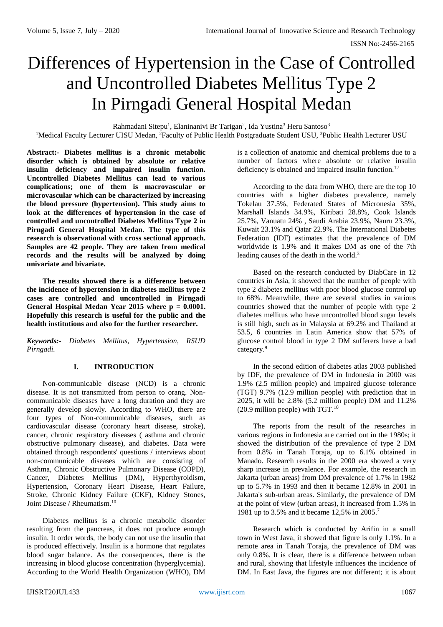# Differences of Hypertension in the Case of Controlled and Uncontrolled Diabetes Mellitus Type 2 In Pirngadi General Hospital Medan

Rahmadani Sitepu<sup>1</sup>, Elaninanivi Br Tarigan<sup>2</sup>, Ida Yustina<sup>3</sup> Heru Santoso<sup>3</sup>

<sup>1</sup>Medical Faculty Lecturer UISU Medan, <sup>2</sup>Faculty of Public Health Postgraduate Student USU, <sup>3</sup>Public Health Lecturer USU

**Abstract:- Diabetes mellitus is a chronic metabolic disorder which is obtained by absolute or relative insulin deficiency and impaired insulin function. Uncontrolled Diabetes Mellitus can lead to various complications; one of them is macrovascular or microvascular which can be characterized by increasing the blood pressure (hypertension). This study aims to look at the differences of hypertension in the case of controlled and uncontrolled Diabetes Mellitus Type 2 in Pirngadi General Hospital Medan. The type of this research is observational with cross sectional approach. Samples are 42 people. They are taken from medical records and the results will be analyzed by doing univariate and bivariate.**

**The results showed there is a difference between the incidence of hypertension in diabetes mellitus type 2 cases are controlled and uncontrolled in Pirngadi General Hospital Medan Year 2015 where p = 0.0001. Hopefully this research is useful for the public and the health institutions and also for the further researcher.**

*Keywords:- Diabetes Mellitus, Hypertension, RSUD Pirngadi.*

# **I. INTRODUCTION**

Non-communicable disease (NCD) is a chronic disease. It is not transmitted from person to orang. Noncommunicable diseases have a long duration and they are generally develop slowly. According to WHO, there are four types of Non-communicable diseases, such as cardiovascular disease (coronary heart disease, stroke), cancer, chronic respiratory diseases ( asthma and chronic obstructive pulmonary disease), and diabetes. Data were obtained through respondents' questions / interviews about non-communicable diseases which are consisting of Asthma, Chronic Obstructive Pulmonary Disease (COPD), Cancer, Diabetes Mellitus (DM), Hyperthyroidism, Hypertension, Coronary Heart Disease, Heart Failure, Stroke, Chronic Kidney Failure (CKF), Kidney Stones, Joint Disease / Rheumatism.<sup>10</sup>

Diabetes mellitus is a chronic metabolic disorder resulting from the pancreas, it does not produce enough insulin. It order words, the body can not use the insulin that is produced effectively. Insulin is a hormone that regulates blood sugar balance. As the consequences, there is the increasing in blood glucose concentration (hyperglycemia). According to the World Health Organization (WHO), DM

is a collection of anatomic and chemical problems due to a number of factors where absolute or relative insulin deficiency is obtained and impaired insulin function.<sup>12</sup>

According to the data from WHO, there are the top 10 countries with a higher diabetes prevalence, namely Tokelau 37.5%, Federated States of Micronesia 35%, Marshall Islands 34.9%, Kiribati 28.8%, Cook Islands 25.7%, Vanuatu 24% , Saudi Arabia 23.9%, Nauru 23.3%, Kuwait 23.1% and Qatar 22.9%. The International Diabetes Federation (IDF) estimates that the prevalence of DM worldwide is 1.9% and it makes DM as one of the 7th leading causes of the death in the world.<sup>3</sup>

Based on the research conducted by DiabCare in 12 countries in Asia, it showed that the number of people with type 2 diabetes mellitus with poor blood glucose control up to 68%. Meanwhile, there are several studies in various countries showed that the number of people with type 2 diabetes mellitus who have uncontrolled blood sugar levels is still high, such as in Malaysia at 69.2% and Thailand at 53.5, 6 countries in Latin America show that 57% of glucose control blood in type 2 DM sufferers have a bad category.<sup>9</sup>

In the second edition of diabetes atlas 2003 published by IDF, the prevalence of DM in Indonesia in 2000 was 1.9% (2.5 million people) and impaired glucose tolerance (TGT) 9.7% (12.9 million people) with prediction that in 2025, it will be 2.8% (5.2 million people) DM and 11.2% (20.9 million people) with TGT.<sup>10</sup>

The reports from the result of the researches in various regions in Indonesia are carried out in the 1980s; it showed the distribution of the prevalence of type 2 DM from 0.8% in Tanah Toraja, up to 6.1% obtained in Manado. Research results in the 2000 era showed a very sharp increase in prevalence. For example, the research in Jakarta (urban areas) from DM prevalence of 1.7% in 1982 up to 5.7% in 1993 and then it became 12.8% in 2001 in Jakarta's sub-urban areas. Similarly, the prevalence of DM at the point of view (urban areas), it increased from 1.5% in 1981 up to 3.5% and it became 12,5% in 2005.<sup>7</sup>

Research which is conducted by Arifin in a small town in West Java, it showed that figure is only 1.1%. In a remote area in Tanah Toraja, the prevalence of DM was only 0.8%. It is clear, there is a difference between urban and rural, showing that lifestyle influences the incidence of DM. In East Java, the figures are not different; it is about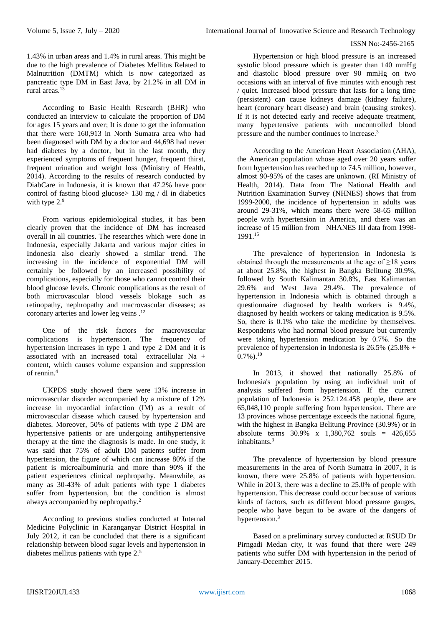## ISSN No:-2456-2165

1.43% in urban areas and 1.4% in rural areas. This might be due to the high prevalence of Diabetes Mellitus Related to Malnutrition (DMTM) which is now categorized as pancreatic type DM in East Java, by 21.2% in all DM in rural areas. $13$ 

According to Basic Health Research (BHR) who conducted an interview to calculate the proportion of DM for ages 15 years and over; It is done to get the information that there were 160,913 in North Sumatra area who had been diagnosed with DM by a doctor and 44,698 had never had diabetes by a doctor, but in the last month, they experienced symptoms of frequent hunger, frequent thirst, frequent urination and weight loss (Ministry of Health, 2014). According to the results of research conducted by DiabCare in Indonesia, it is known that 47.2% have poor control of fasting blood glucose> 130 mg / dl in diabetics with type  $2.9$ 

From various epidemiological studies, it has been clearly proven that the incidence of DM has increased overall in all countries. The researches which were done in Indonesia, especially Jakarta and various major cities in Indonesia also clearly showed a similar trend. The increasing in the incidence of exponential DM will certainly be followed by an increased possibility of complications, especially for those who cannot control their blood glucose levels. Chronic complications as the result of both microvascular blood vessels blokage such as retinopathy, nephropathy and macrovascular diseases; as coronary arteries and lower leg veins .<sup>12</sup>

One of the risk factors for macrovascular complications is hypertension. The frequency of hypertension increases in type 1 and type 2 DM and it is associated with an increased total extracellular  $Na +$ content, which causes volume expansion and suppression of rennin.<sup>4</sup>

UKPDS study showed there were 13% increase in microvascular disorder accompanied by a mixture of 12% increase in myocardial infarction (IM) as a result of microvascular disease which caused by hypertension and diabetes. Moreover, 50% of patients with type 2 DM are hypertensive patients or are undergoing antihypertensive therapy at the time the diagnosis is made. In one study, it was said that 75% of adult DM patients suffer from hypertension, the figure of which can increase 80% if the patient is microalbuminuria and more than 90% if the patient experiences clinical nephropathy. Meanwhile, as many as 30-43% of adult patients with type 1 diabetes suffer from hypertension, but the condition is almost always accompanied by nephropathy.<sup>2</sup>

According to previous studies conducted at Internal Medicine Polyclinic in Karanganyar District Hospital in July 2012, it can be concluded that there is a significant relationship between blood sugar levels and hypertension in diabetes mellitus patients with type 2.<sup>5</sup>

Hypertension or high blood pressure is an increased systolic blood pressure which is greater than 140 mmHg and diastolic blood pressure over 90 mmHg on two occasions with an interval of five minutes with enough rest / quiet. Increased blood pressure that lasts for a long time (persistent) can cause kidneys damage (kidney failure), heart (coronary heart disease) and brain (causing strokes). If it is not detected early and receive adequate treatment, many hypertensive patients with uncontrolled blood pressure and the number continues to increase. 3

According to the American Heart Association (AHA), the American population whose aged over 20 years suffer from hypertension has reached up to 74.5 million, however, almost 90-95% of the cases are unknown. (RI Ministry of Health, 2014). Data from The National Health and Nutrition Examination Survey (NHNES) shows that from 1999-2000, the incidence of hypertension in adults was around 29-31%, which means there were 58-65 million people with hypertension in America, and there was an increase of 15 million from NHANES III data from 1998- 1991.<sup>15</sup>

The prevalence of hypertension in Indonesia is obtained through the measurements at the age of ≥18 years at about 25.8%, the highest in Bangka Belitung 30.9%, followed by South Kalimantan 30.8%, East Kalimantan 29.6% and West Java 29.4%. The prevalence of hypertension in Indonesia which is obtained through a questionnaire diagnosed by health workers is 9.4%, diagnosed by health workers or taking medication is 9.5%. So, there is 0.1% who take the medicine by themselves. Respondents who had normal blood pressure but currently were taking hypertension medication by 0.7%. So the prevalence of hypertension in Indonesia is 26.5% (25.8% +  $(0.7\%)$ <sup>10</sup>

In 2013, it showed that nationally 25.8% of Indonesia's population by using an individual unit of analysis suffered from hypertension. If the current population of Indonesia is 252.124.458 people, there are 65,048,110 people suffering from hypertension. There are 13 provinces whose percentage exceeds the national figure, with the highest in Bangka Belitung Province (30.9%) or in absolute terms  $30.9\%$  x  $1.380,762$  souls = 426,655 inhabitants<sup>3</sup>

The prevalence of hypertension by blood pressure measurements in the area of North Sumatra in 2007, it is known, there were 25.8% of patients with hypertension. While in 2013, there was a decline to 25.0% of people with hypertension. This decrease could occur because of various kinds of factors, such as different blood pressure gauges, people who have begun to be aware of the dangers of hypertension.<sup>3</sup>

Based on a preliminary survey conducted at RSUD Dr Pirngadi Medan city, it was found that there were 249 patients who suffer DM with hypertension in the period of January-December 2015.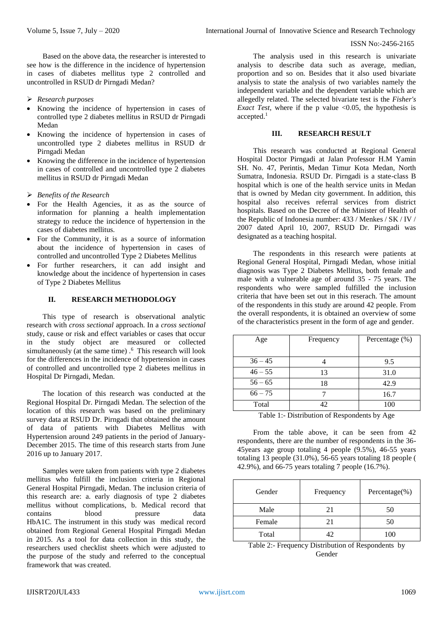#### ISSN No:-2456-2165

Based on the above data, the researcher is interested to see how is the difference in the incidence of hypertension in cases of diabetes mellitus type 2 controlled and uncontrolled in RSUD dr Pirngadi Medan?

## *Research purposes*

- Knowing the incidence of hypertension in cases of controlled type 2 diabetes mellitus in RSUD dr Pirngadi Medan
- Knowing the incidence of hypertension in cases of uncontrolled type 2 diabetes mellitus in RSUD dr Pirngadi Medan
- Knowing the difference in the incidence of hypertension in cases of controlled and uncontrolled type 2 diabetes mellitus in RSUD dr Pirngadi Medan
- *Benefits of the Research*
- For the Health Agencies, it as as the source of information for planning a health implementation strategy to reduce the incidence of hypertension in the cases of diabetes mellitus.
- For the Community, it is as a source of information about the incidence of hypertension in cases of controlled and uncontrolled Type 2 Diabetes Mellitus
- For further researchers, it can add insight and knowledge about the incidence of hypertension in cases of Type 2 Diabetes Mellitus

# **II. RESEARCH METHODOLOGY**

This type of research is observational analytic research with *cross sectional* approach. In a *cross sectional* study, cause or risk and effect variables or cases that occur in the study object are measured or collected simultaneously (at the same time) .<sup>6</sup> This research will look for the differences in the incidence of hypertension in cases of controlled and uncontrolled type 2 diabetes mellitus in Hospital Dr Pirngadi, Medan.

The location of this research was conducted at the Regional Hospital Dr. Pirngadi Medan. The selection of the location of this research was based on the preliminary survey data at RSUD Dr. Pirngadi that obtained the amount of data of patients with Diabetes Mellitus with Hypertension around 249 patients in the period of January-December 2015. The time of this research starts from June 2016 up to January 2017.

Samples were taken from patients with type 2 diabetes mellitus who fulfill the inclusion criteria in Regional General Hospital Pirngadi, Medan. The inclusion criteria of this research are: a. early diagnosis of type 2 diabetes mellitus without complications, b. Medical record that contains blood pressure data HbA1C. The instrument in this study was medical record obtained from Regional General Hospital Pirngadi Medan in 2015. As a tool for data collection in this study, the researchers used checklist sheets which were adjusted to the purpose of the study and referred to the conceptual framework that was created.

The analysis used in this research is univariate analysis to describe data such as average, median, proportion and so on. Besides that it also used bivariate analysis to state the analysis of two variables namely the independent variable and the dependent variable which are allegedly related. The selected bivariate test is the *Fisher's Exact Test*, where if the p value <0.05, the hypothesis is accepted.<sup>1</sup>

## **III. RESEARCH RESULT**

This research was conducted at Regional General Hospital Doctor Pirngadi at Jalan Professor H.M Yamin SH. No. 47, Perintis, Medan Timur Kota Medan, North Sumatra, Indonesia. RSUD Dr. Pirngadi is a state-class B hospital which is one of the health service units in Medan that is owned by Medan city government. In addition, this hospital also receives referral services from district hospitals. Based on the Decree of the Minister of Health of the Republic of Indonesia number: 433 / Menkes / SK / IV / 2007 dated April 10, 2007, RSUD Dr. Pirngadi was designated as a teaching hospital.

The respondents in this research were patients at Regional General Hospital, Pirngadi Medan, whose initial diagnosis was Type 2 Diabetes Mellitus, both female and male with a vulnerable age of around 35 - 75 years. The respondents who were sampled fulfilled the inclusion criteria that have been set out in this reserach. The amount of the respondents in this study are around 42 people. From the overall respondents, it is obtained an overview of some of the characteristics present in the form of age and gender.

| Age       | Frequency | Percentage (%) |
|-----------|-----------|----------------|
|           |           |                |
| $36 - 45$ |           | 9.5            |
| $46 - 55$ | 13        | 31.0           |
| $56 - 65$ | 18        | 42.9           |
| $66 - 75$ |           | 16.7           |
| Total     | 42        | 100            |

Table 1:- Distribution of Respondents by Age

From the table above, it can be seen from 42 respondents, there are the number of respondents in the 36- 45years age group totaling 4 people (9.5%), 46-55 years totaling 13 people (31.0%), 56-65 years totaling 18 people ( 42.9%), and 66-75 years totaling 7 people (16.7%).

| Gender | Frequency | Percentage $(\%)$ |
|--------|-----------|-------------------|
| Male   | 21        | 50                |
| Female | 21        | 50                |
| Total  | 12        | 100               |

Table 2:- Frequency Distribution of Respondents by Gender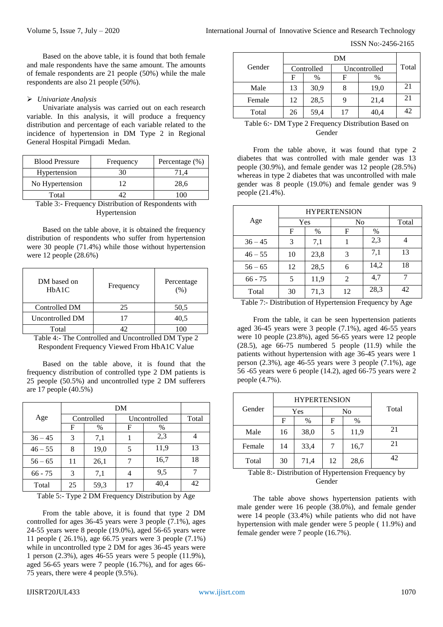ISSN No:-2456-2165

Based on the above table, it is found that both female and male respondents have the same amount. The amounts of female respondents are 21 people (50%) while the male respondents are also 21 people (50%).

# *Univariate Analysis*

Univariate analysis was carried out on each research variable. In this analysis, it will produce a frequency distribution and percentage of each variable related to the incidence of hypertension in DM Type 2 in Regional General Hospital Pirngadi Medan.

| <b>Blood Pressure</b> | Frequency | Percentage (%) |
|-----------------------|-----------|----------------|
| Hypertension          |           |                |
| No Hypertension       |           | 28,6           |
| Total                 |           |                |

Table 3:- Frequency Distribution of Respondents with Hypertension

Based on the table above, it is obtained the frequency distribution of respondents who suffer from hypertension were 30 people (71.4%) while those without hypertension were 12 people (28.6%)

| DM based on<br>HbA1C | Frequency | Percentage<br>(% ) |
|----------------------|-----------|--------------------|
| Controlled DM        | 25        | 50,5               |
| Uncontrolled DM      |           | 40,5               |
| Total                |           |                    |

Table 4:- The Controlled and Uncontrolled DM Type 2 Respondent Frequency Viewed From HbA1C Value

Based on the table above, it is found that the frequency distribution of controlled type 2 DM patients is 25 people (50.5%) and uncontrolled type 2 DM sufferers are 17 people (40.5%)

| Age       | Controlled |      |    | Uncontrolled |    |
|-----------|------------|------|----|--------------|----|
|           | F          | $\%$ | F  | $\%$         |    |
| $36 - 45$ | 3          | 7,1  |    | 2,3          |    |
| $46 - 55$ | 8          | 19,0 | 5  | 11,9         | 13 |
| $56 - 65$ | 11         | 26,1 | 7  | 16,7         | 18 |
| $66 - 75$ | 3          | 7,1  | 4  | 9,5          |    |
| Total     | 25         | 59,3 | 17 | 40,4         | 42 |

Table 5:- Type 2 DM Frequency Distribution by Age

From the table above, it is found that type 2 DM controlled for ages 36-45 years were 3 people (7.1%), ages 24-55 years were 8 people (19.0%), aged 56-65 years were 11 people ( 26.1%), age 66.75 years were 3 people (7.1%) while in uncontrolled type 2 DM for ages 36-45 years were 1 person (2.3%), ages 46-55 years were 5 people (11.9%), aged 56-65 years were 7 people (16.7%), and for ages 66- 75 years, there were 4 people (9.5%).

|        | DM         |      |              |      |       |
|--------|------------|------|--------------|------|-------|
| Gender | Controlled |      | Uncontrolled |      | Total |
|        | F          | $\%$ | F            | $\%$ |       |
| Male   | 13         | 30,9 | 8            | 19,0 | 21    |
| Female | 12         | 28,5 | 9            | 21,4 | 21    |
| Total  | 26         | 59,4 | 17           | 40,4 | 42    |

Table 6:- DM Type 2 Frequency Distribution Based on Gender

From the table above, it was found that type 2 diabetes that was controlled with male gender was 13 people (30.9%), and female gender was 12 people (28.5%) whereas in type 2 diabetes that was uncontrolled with male gender was 8 people (19.0%) and female gender was 9 people (21.4%).

| <b>HYPERTENSION</b> |    |      |    |      |       |
|---------------------|----|------|----|------|-------|
| Age                 |    | Yes  | No |      | Total |
|                     | F  | $\%$ | F  | $\%$ |       |
| $36 - 45$           | 3  | 7,1  |    | 2,3  |       |
| $46 - 55$           | 10 | 23,8 | 3  | 7,1  | 13    |
| $56 - 65$           | 12 | 28,5 | 6  | 14,2 | 18    |
| $66 - 75$           | 5  | 11,9 | 2  | 4,7  |       |
| Total               | 30 | 71,3 | 12 | 28,3 | 42    |

Table 7:- Distribution of Hypertension Frequency by Age

From the table, it can be seen hypertension patients aged 36-45 years were 3 people (7.1%), aged 46-55 years were 10 people (23.8%), aged 56-65 years were 12 people (28.5), age 66-75 numbered 5 people (11.9) while the patients without hypertension with age 36-45 years were 1 person (2.3%), age 46-55 years were 3 people (7.1%), age 56 -65 years were 6 people (14.2), aged 66-75 years were 2 people (4.7%).

|        |                     | <b>HYPERTENSION</b> |    |      |    |       |
|--------|---------------------|---------------------|----|------|----|-------|
| Gender | Yes<br>No           |                     |    |      |    | Total |
|        | $\%$<br>F<br>%<br>F |                     |    |      |    |       |
| Male   | 16                  | 38,0                | 5  | 11,9 | 21 |       |
| Female | 14                  | 33,4                |    | 16,7 | 21 |       |
| Total  | 30                  | 71,4                | 12 | 28,6 | 42 |       |

Table 8:- Distribution of Hypertension Frequency by Gender

The table above shows hypertension patients with male gender were 16 people (38.0%), and female gender were 14 people (33.4%) while patients who did not have hypertension with male gender were 5 people ( 11.9%) and female gender were 7 people (16.7%).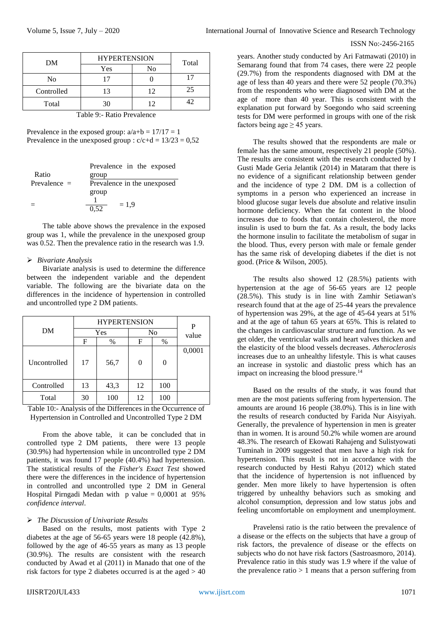| International Journal of Innovative Science and Research Technology |  |
|---------------------------------------------------------------------|--|
|---------------------------------------------------------------------|--|

#### ISSN No:-2456-2165

| Total |
|-------|
|       |
|       |
| 25    |
| 42    |
|       |

Table 9:- Ratio Prevalence

Prevalence in the exposed group:  $a/a+b = 17/17 = 1$ Prevalence in the unexposed group :  $c/c+d = 13/23 = 0.52$ 

|                | Prevalence in the exposed   |
|----------------|-----------------------------|
| Ratio          | group                       |
| Prevalence $=$ | Prevalence in the unexposed |
|                | group                       |
|                | $= 1.9$                     |
|                | 0.52                        |

The table above shows the prevalence in the exposed group was 1, while the prevalence in the unexposed group was 0.52. Then the prevalence ratio in the research was 1.9.

## *Bivariate Analysis*

Bivariate analysis is used to determine the difference between the independent variable and the dependent variable. The following are the bivariate data on the differences in the incidence of hypertension in controlled and uncontrolled type 2 DM patients.

|              | <b>HYPERTENSION</b> |      |    |                | P      |
|--------------|---------------------|------|----|----------------|--------|
| DM           |                     | Yes  | No |                | value  |
|              | F                   | $\%$ | F  | $\%$           |        |
| Uncontrolled | 17                  | 56,7 | 0  | $\overline{0}$ | 0,0001 |
| Controlled   | 13                  | 43,3 | 12 | 100            |        |
| Total        | 30                  | 100  | 12 | 100            |        |

Table 10:- Analysis of the Differences in the Occurrence of Hypertension in Controlled and Uncontrolled Type 2 DM

From the above table, it can be concluded that in controlled type 2 DM patients, there were 13 people (30.9%) had hypertension while in uncontrolled type 2 DM patients, it was found 17 people (40.4%) had hypertension. The statistical results of the *Fisher's Exact Test* showed there were the differences in the incidence of hypertension in controlled and uncontrolled type 2 DM in General Hospital Pirngadi Medan with p value  $= 0,0001$  at 95% *confidence interval*.

# *The Discussion of Univariate Results*

Based on the results, most patients with Type 2 diabetes at the age of 56-65 years were 18 people (42.8%), followed by the age of 46-55 years as many as 13 people (30.9%). The results are consistent with the research conducted by Awad et al (2011) in Manado that one of the risk factors for type 2 diabetes occurred is at the aged  $> 40$  years. Another study conducted by Ari Fatmawati (2010) in Semarang found that from 74 cases, there were 22 people (29.7%) from the respondents diagnosed with DM at the age of less than 40 years and there were 52 people (70.3%) from the respondents who were diagnosed with DM at the age of more than 40 year. This is consistent with the explanation put forward by Soegondo who said screening tests for DM were performed in groups with one of the risk factors being age  $\geq$  45 years.

The results showed that the respondents are male or female has the same amount, respectively 21 people (50%). The results are consistent with the research conducted by I Gusti Made Geria Jelantik (2014) in Mataram that there is no evidence of a significant relationship between gender and the incidence of type 2 DM. DM is a collection of symptoms in a person who experienced an increase in blood glucose sugar levels due absolute and relative insulin hormone deficiency. When the fat content in the blood increases due to foods that contain cholesterol, the more insulin is used to burn the fat. As a result, the body lacks the hormone insulin to facilitate the metabolism of sugar in the blood. Thus, every person with male or female gender has the same risk of developing diabetes if the diet is not good. (Price & Wilson, 2005).

The results also showed 12 (28.5%) patients with hypertension at the age of 56-65 years are 12 people (28.5%). This study is in line with Zamhir Setiawan's research found that at the age of 25-44 years the prevalence of hypertension was 29%, at the age of 45-64 years at 51% and at the age of tahun 65 years at 65%. This is related to the changes in cardiovascular structure and function. As we get older, the ventricular walls and heart valves thicken and the elasticity of the blood vessels decreases. *Atheroclerosis* increases due to an unhealthy lifestyle. This is what causes an increase in systolic and diastolic press which has an impact on increasing the blood pressure.<sup>14</sup>

Based on the results of the study, it was found that men are the most patients suffering from hypertension. The amounts are around 16 people (38.0%). This is in line with the results of research conducted by Farida Nur Aisyiyah. Generally, the prevalence of hypertension in men is greater than in women. It is around 50.2% while women are around 48.3%. The research of Ekowati Rahajeng and Sulistyowati Tuminah in 2009 suggested that men have a high risk for hypertension. This result is not in accordance with the research conducted by Hesti Rahyu (2012) which stated that the incidence of hypertension is not influenced by gender. Men more likely to have hypertension is often triggered by unhealthy behaviors such as smoking and alcohol consumption, depression and low status jobs and feeling uncomfortable on employment and unemployment.

Pravelensi ratio is the ratio between the prevalence of a disease or the effects on the subjects that have a group of risk factors, the prevalence of disease or the effects on subjects who do not have risk factors (Sastroasmoro, 2014). Prevalence ratio in this study was 1.9 where if the value of the prevalence ratio  $> 1$  means that a person suffering from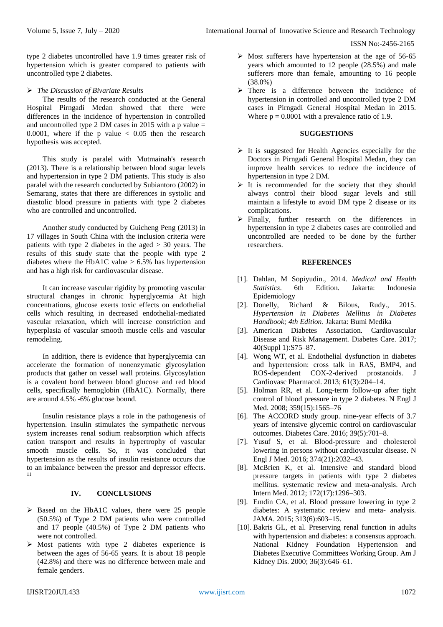type 2 diabetes uncontrolled have 1.9 times greater risk of hypertension which is greater compared to patients with uncontrolled type 2 diabetes.

# *The Discussion of Bivariate Results*

The results of the research conducted at the General Hospital Pirngadi Medan showed that there were differences in the incidence of hypertension in controlled and uncontrolled type 2 DM cases in 2015 with a p value = 0.0001, where if the p value  $\lt$  0.05 then the research hypothesis was accepted.

This study is paralel with Mutmainah's research (2013). There is a relationship between blood sugar levels and hypertension in type 2 DM patients. This study is also paralel with the research conducted by Subiantoro (2002) in Semarang, states that there are differences in systolic and diastolic blood pressure in patients with type 2 diabetes who are controlled and uncontrolled.

Another study conducted by Guicheng Peng (2013) in 17 villages in South China with the inclusion criteria were patients with type 2 diabetes in the aged > 30 years. The results of this study state that the people with type 2 diabetes where the HbA1C value  $> 6.5\%$  has hypertension and has a high risk for cardiovascular disease.

It can increase vascular rigidity by promoting vascular structural changes in chronic hyperglycemia At high concentrations, glucose exerts toxic effects on endothelial cells which resulting in decreased endothelial-mediated vascular relaxation, which will increase constriction and hyperplasia of vascular smooth muscle cells and vascular remodeling.

In addition, there is evidence that hyperglycemia can accelerate the formation of nonenzymatic glycosylation products that gather on vessel wall proteins. Glycosylation is a covalent bond between blood glucose and red blood cells, specifically hemoglobin (HbA1C). Normally, there are around 4.5% -6% glucose bound.

Insulin resistance plays a role in the pathogenesis of hypertension. Insulin stimulates the sympathetic nervous system increases renal sodium reabsorption which affects cation transport and results in hypertrophy of vascular smooth muscle cells. So, it was concluded that hypertension as the results of insulin resistance occurs due to an imbalance between the pressor and depressor effects. 11

# **IV. CONCLUSIONS**

- $\triangleright$  Based on the HbA1C values, there were 25 people (50.5%) of Type 2 DM patients who were controlled and 17 people (40.5%) of Type 2 DM patients who were not controlled.
- $\triangleright$  Most patients with type 2 diabetes experience is between the ages of 56-65 years. It is about 18 people (42.8%) and there was no difference between male and female genders.
- $\triangleright$  Most sufferers have hypertension at the age of 56-65 years which amounted to 12 people (28.5%) and male sufferers more than female, amounting to 16 people (38.0%)
- > There is a difference between the incidence of hypertension in controlled and uncontrolled type 2 DM cases in Pirngadi General Hospital Medan in 2015. Where  $p = 0.0001$  with a prevalence ratio of 1.9.

## **SUGGESTIONS**

- $\triangleright$  It is suggested for Health Agencies especially for the Doctors in Pirngadi General Hospital Medan, they can improve health services to reduce the incidence of hypertension in type 2 DM.
- $\triangleright$  It is recommended for the society that they should always control their blood sugar levels and still maintain a lifestyle to avoid DM type 2 disease or its complications.
- $\triangleright$  Finally, further research on the differences in hypertension in type 2 diabetes cases are controlled and uncontrolled are needed to be done by the further researchers.

# **REFERENCES**

- [1]. Dahlan, M Sopiyudin., 2014*. Medical and Health Statistics*. 6th Edition. Jakarta: Indonesia Epidemiology
- [2]. Donelly, Richard & Bilous, Rudy., 2015. *Hypertension in Diabetes Mellitus in Diabetes Handbook; 4th Edition*. Jakarta: Bumi Medika
- [3]. American Diabetes Association. Cardiovascular Disease and Risk Management. Diabetes Care. 2017; 40(Suppl 1):S75–87.
- [4]. Wong WT, et al. Endothelial dysfunction in diabetes and hypertension: cross talk in RAS, BMP4, and ROS-dependent COX-2-derived prostanoids. J Cardiovasc Pharmacol. 2013; 61(3):204–14.
- [5]. Holman RR, et al. Long-term follow-up after tight control of blood pressure in type 2 diabetes. N Engl J Med. 2008; 359(15):1565–76
- [6]. The ACCORD study group. nine-year effects of 3.7 years of intensive glycemic control on cardiovascular outcomes. Diabetes Care. 2016; 39(5):701–8.
- [7]. Yusuf S, et al. Blood-pressure and cholesterol lowering in persons without cardiovascular disease. N Engl J Med. 2016; 374(21):2032–43.
- [8]. McBrien K, et al. Intensive and standard blood pressure targets in patients with type 2 diabetes mellitus. systematic review and meta-analysis. Arch Intern Med. 2012; 172(17):1296–303.
- [9]. Emdin CA, et al. Blood pressure lowering in type 2 diabetes: A systematic review and meta- analysis. JAMA. 2015; 313(6):603–15.
- [10]. Bakris GL, et al. Preserving renal function in adults with hypertension and diabetes: a consensus approach. National Kidney Foundation Hypertension and Diabetes Executive Committees Working Group. Am J Kidney Dis. 2000; 36(3):646–61.